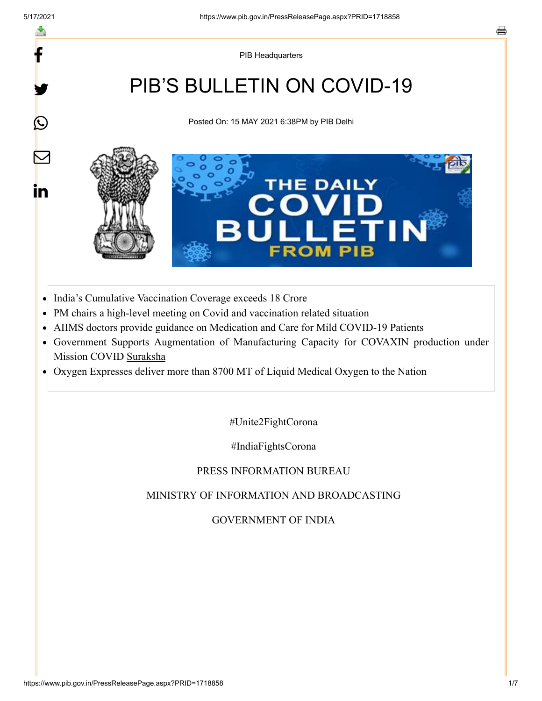f

y.

 $\bigcirc$ 

 $\color{red}\nabla$ 

in

PIB Headquarters

# PIB'S BULLETIN ON COVID-19

Posted On: 15 MAY 2021 6:38PM by PIB Delhi



- India's Cumulative Vaccination Coverage exceeds 18 Crore  $\bullet$
- PM chairs a high-level meeting on Covid and vaccination related situation  $\bullet$
- AIIMS doctors provide guidance on Medication and Care for Mild COVID-19 Patients
- Government Supports Augmentation of Manufacturing Capacity for COVAXIN production under Mission COVID Suraksha
- Oxygen Expresses deliver more than 8700 MT of Liquid Medical Oxygen to the Nation  $\bullet$

#Unite2FightCorona

#IndiaFightsCorona

PRESS INFORMATION BUREAU

#### MINISTRY OF INFORMATION AND BROADCASTING

GOVERNMENT OF INDIA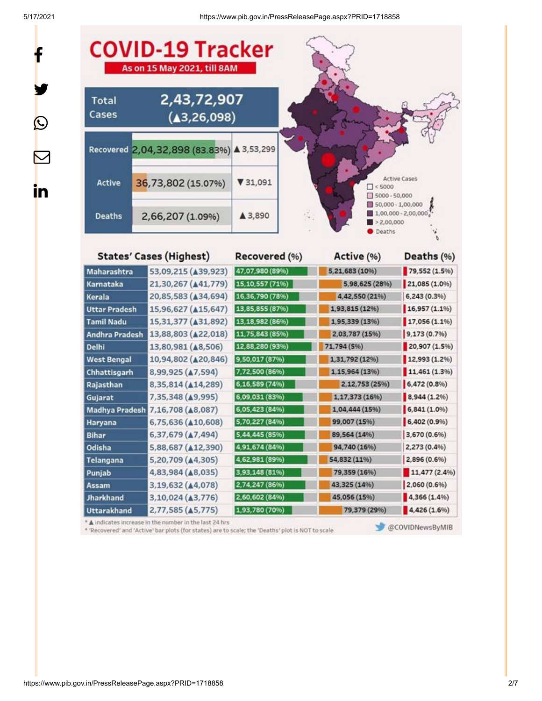f

y.

 $\circledcirc$ 

 $\color{red} \blacktriangleright$ 

in

5/17/2021 https://www.pib.gov.in/PressReleasePage.aspx?PRID=1718858



**States' Cases (Highest)** 

Recovered (%)

| Active (%)    | Deaths (%)    |  |  |
|---------------|---------------|--|--|
| ,21,683 (10%) | 79,552 (1.5%) |  |  |

ń

| manarasntra           | 33,03,613 (A33,363)             | mr, ur, sou (os:o) | J,64,00J (1070) | 17.3336 (4.370) |
|-----------------------|---------------------------------|--------------------|-----------------|-----------------|
| Karnataka             | 21,30,267 (A41,779)             | 15, 10, 557 (71%)  | 5,98,625 (28%)  | 21,085 (1.0%)   |
| Kerala                | 20,85,583 (434,694)             | 16,36,790 (78%)    | 4,42,550 (21%)  | 6,243 (0.3%)    |
| <b>Uttar Pradesh</b>  | 15,96,627 ( $\triangle$ 15,647) | 13,85,855 (87%)    | 1,93,815 (12%)  | 16,957(1.1%     |
| <b>Tamil Nadu</b>     | 15,31,377 ( $\triangle$ 31,892) | 13,18,982 (86%)    | 1,95,339 (13%)  | 17,056 (1.1%)   |
| Andhra Pradesh        | 13,88,803 (422,018)             | 11,75,843 (85%)    | 2,03,787 (15%)  | 9,173 (0.7%)    |
| <b>Delhi</b>          | 13,80,981 (48,506)              | 12,88,280 (93%)    | 71,794 (5%)     | 20,907 (1.5%)   |
| <b>West Bengal</b>    | 10,94,802 (420,846)             | 9,50,017 (87%)     | 1,31,792 (12%)  | 12,993 (1.2%)   |
| Chhattisgarh          | 8,99,925 (47,594)               | 7,72,500 (86%)     | 1,15,964 (13%)  | 11,461(1.3%)    |
| Rajasthan             | 8,35,814 (414,289)              | 6,16,589 (74%)     | 2,12,753 (25%)  | 6,472 (0.8%)    |
| Gujarat               | 7,35,348 (49,995)               | 6,09,031 (83%)     | 1,17,373 (16%)  | 8,944 (1.2%)    |
| <b>Madhya Pradesh</b> | 7,16,708 ( $\triangle$ 8,087)   | 6,05,423 (84%)     | 1,04,444 (15%)  | 6,841(1.0%      |
| <b>Haryana</b>        | 6,75,636 (410,608)              | 5,70,227 (84%)     | 99,007 (15%)    | 6,402(0.9%)     |
| <b>Bihar</b>          | 6,37,679 (47,494)               | 5,44,445 (85%)     | 89,564 (14%)    | 3,670 (0.6%)    |
| Odisha                | 5,88,687 (A12,390)              | 4,91,674 (84%)     | 94,740 (16%)    | 2,273 (0.4%)    |
| Telangana             | 5,20,709 (44,305)               | 4,62,981 (89%)     | 54,832 (11%)    | 2,896 (0.6%)    |
| Punjab                | 4,83,984 ( $\triangle$ 8,035)   | 3,93,148 (81%)     | 79,359 (16%)    | 11,477 (2.4%)   |
| Assam                 | 3,19,632 (A4,078)               | 2,74,247 (86%)     | 43,325 (14%)    | 2,060 (0.6%)    |
| <b>Jharkhand</b>      | 3,10,024 (43,776)               | 2,60,602 (84%)     | 45,056 (15%)    | 4,366 (1.4%)    |
| <b>Uttarakhand</b>    | 2,77,585 (A5,775)               | 1,93,780 (70%)     | 79,379 (29%)    | 4,426 (1.6%)    |
|                       |                                 |                    |                 |                 |

\* A indicates increase in the number in the last 24 hrs

\* 'Recovered' and 'Active' bar plots (for states) are to scale; the 'Deaths' plot is NOT to scale

 $\overline{a}$ 

**Red** 

@COVIDNewsByMIB

https://www.pib.gov.in/PressReleasePage.aspx?PRID=1718858 2/7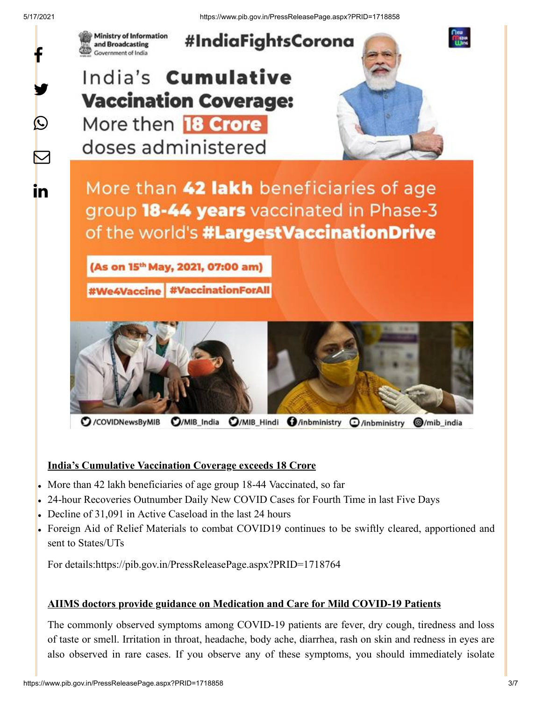

 $\sum$ 

in.

#IndiaFightsCorona

# India's **Cumulative Vaccination Coverage:** More then **18 Crore**

**Ministry of Information** 

and Broadcasting Government of India

doses administered

More than 42 lakh beneficiaries of age group 18-44 years vaccinated in Phase-3 of the world's #LargestVaccinationDrive

(As on 15<sup>th</sup> May, 2021, 07:00 am)

**#We4Vaccine #VaccinationForAll** 



/COVIDNewsByMIB  $Q/MIB$  India O/MIB\_Hindi O/inbministry O/inbministry @/mib\_india

#### **India's Cumulative Vaccination Coverage exceeds 18 Crore**

- More than 42 lakh beneficiaries of age group 18-44 Vaccinated, so far
- 24-hour Recoveries Outnumber Daily New COVID Cases for Fourth Time in last Five Days
- Decline of 31,091 in Active Caseload in the last 24 hours
- Foreign Aid of Relief Materials to combat COVID19 continues to be swiftly cleared, apportioned and sent to States/UTs

For details[:https://pib.gov.in/PressReleasePage.aspx?PRID=1718764](https://pib.gov.in/PressReleasePage.aspx?PRID=1718764)

#### **AIIMS doctors provide guidance on Medication and Care for Mild COVID-19 Patients**

The commonly observed symptoms among COVID-19 patients are fever, dry cough, tiredness and loss of taste or smell. Irritation in throat, headache, body ache, diarrhea, rash on skin and redness in eyes are also observed in rare cases. If you observe any of these symptoms, you should immediately isolate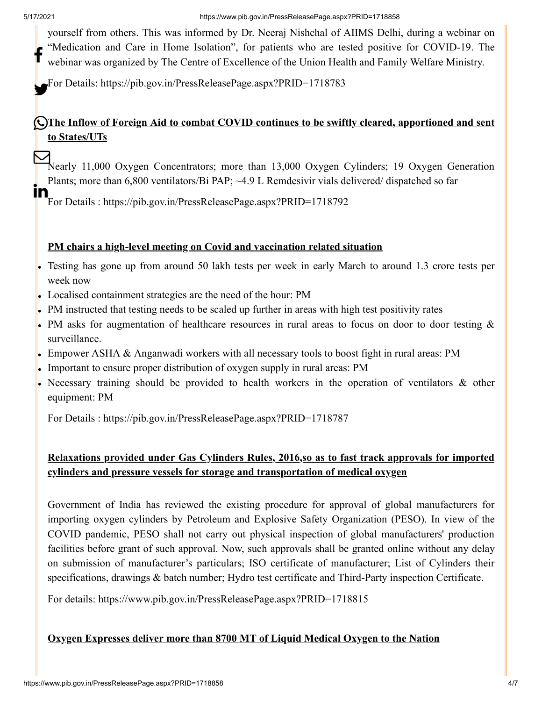yourself from others. This was informed by Dr. Neeraj Nishchal of AIIMS Delhi, during a webinar on "Medication and Care in Home Isolation", for patients who are tested positive for COVID-19. The webinar was organized by The Centre of Excellence of the Union Health and Family Welfare Ministry. f

For Details: <https://pib.gov.in/PressReleasePage.aspx?PRID=1718783>

# **The Inflow of Foreign Aid to combat COVID continues to be swiftly cleared, apportioned and sent to States/UTs**

Nearly 11,000 Oxygen Concentrators; more than 13,000 Oxygen Cylinders; 19 Oxygen Generation Plants; more than 6,800 ventilators/Bi PAP; ~4.9 L Remdesivir vials delivered/ dispatched so far

For Details : <https://pib.gov.in/PressReleasePage.aspx?PRID=1718792> In

### **PM chairs a high-level meeting on Covid and vaccination related situation**

- Testing has gone up from around 50 lakh tests per week in early March to around 1.3 crore tests per week now
- Localised containment strategies are the need of the hour: PM
- PM instructed that testing needs to be scaled up further in areas with high test positivity rates
- PM asks for augmentation of healthcare resources in rural areas to focus on door to door testing & surveillance.
- Empower ASHA & Anganwadi workers with all necessary tools to boost fight in rural areas: PM
- Important to ensure proper distribution of oxygen supply in rural areas: PM
- Necessary training should be provided to health workers in the operation of ventilators & other equipment: PM

For Details : <https://pib.gov.in/PressReleasePage.aspx?PRID=1718787>

# **Relaxations provided under Gas Cylinders Rules, 2016,so as to fast track approvals for imported cylinders and pressure vessels for storage and transportation of medical oxygen**

Government of India has reviewed the existing procedure for approval of global manufacturers for importing oxygen cylinders by Petroleum and Explosive Safety Organization (PESO). In view of the COVID pandemic, PESO shall not carry out physical inspection of global manufacturers' production facilities before grant of such approval. Now, such approvals shall be granted online without any delay on submission of manufacturer's particulars; ISO certificate of manufacturer; List of Cylinders their specifications, drawings & batch number; Hydro test certificate and Third-Party inspection Certificate.

For details:<https://www.pib.gov.in/PressReleasePage.aspx?PRID=1718815>

#### **Oxygen Expresses deliver more than 8700 MT of Liquid Medical Oxygen to the Nation**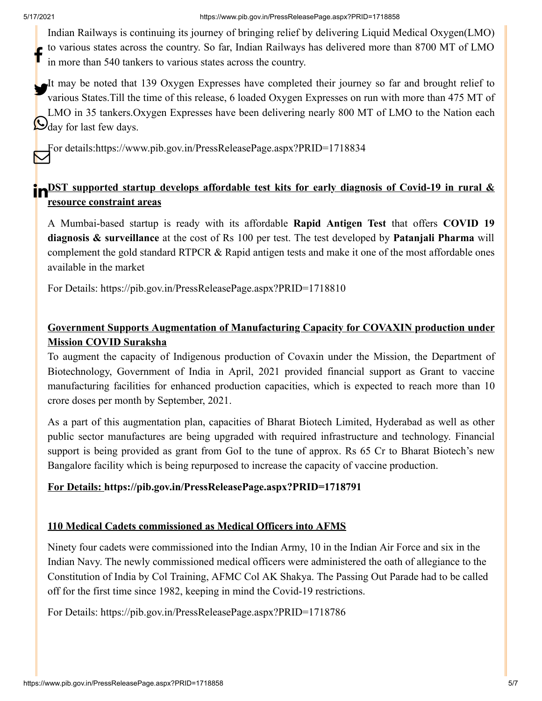Indian Railways is continuing its journey of bringing relief by delivering Liquid Medical Oxygen(LMO) to various states across the country. So far, Indian Railways has delivered more than 8700 MT of LMO in more than 540 tankers to various states across the country. f

It may be noted that 139 Oxygen Expresses have completed their journey so far and brought relief to<br>It writes States Till the time of this relegge 6 loaded Oxygen Expresses on my with more than 475 MT of various States.Till the time of this release, 6 loaded Oxygen Expresses on run with more than 475 MT of LMO in 35 tankers.Oxygen Expresses have been delivering nearly 800 MT of LMO to the Nation each  $\bigotimes_{\text{day}}^{\text{2115}}$  for last few days.

For details[:https://www.pib.gov.in/PressReleasePage.aspx?PRID=1718834](https://www.pib.gov.in/PressReleasePage.aspx?PRID=1718834)

### **POST** supported startup develops affordable test kits for early diagnosis of Covid-19 in rural & **resource constraint areas**

A Mumbai-based startup is ready with its affordable **Rapid Antigen Test** that offers **COVID 19 diagnosis & surveillance** at the cost of Rs 100 per test. The test developed by **Patanjali Pharma** will complement the gold standard RTPCR & Rapid antigen tests and make it one of the most affordable ones available in the market

For Details: <https://pib.gov.in/PressReleasePage.aspx?PRID=1718810>

# **Government Supports Augmentation of Manufacturing Capacity for COVAXIN production under Mission COVID Suraksha**

To augment the capacity of Indigenous production of Covaxin under the Mission, the Department of Biotechnology, Government of India in April, 2021 provided financial support as Grant to vaccine manufacturing facilities for enhanced production capacities, which is expected to reach more than 10 crore doses per month by September, 2021.

As a part of this augmentation plan, capacities of Bharat Biotech Limited, Hyderabad as well as other public sector manufactures are being upgraded with required infrastructure and technology. Financial support is being provided as grant from GoI to the tune of approx. Rs 65 Cr to Bharat Biotech's new Bangalore facility which is being repurposed to increase the capacity of vaccine production.

#### **For Details: <https://pib.gov.in/PressReleasePage.aspx?PRID=1718791>**

#### **110 Medical Cadets commissioned as Medical Officers into AFMS**

Ninety four cadets were commissioned into the Indian Army, 10 in the Indian Air Force and six in the Indian Navy. The newly commissioned medical officers were administered the oath of allegiance to the Constitution of India by Col Training, AFMC Col AK Shakya. The Passing Out Parade had to be called off for the first time since 1982, keeping in mind the Covid-19 restrictions.

For Details: <https://pib.gov.in/PressReleasePage.aspx?PRID=1718786>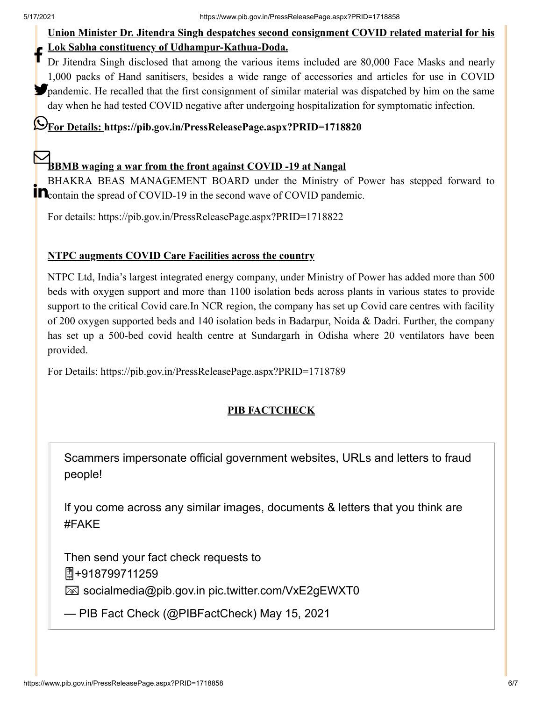### **Union Minister Dr. Jitendra Singh despatches second consignment COVID related material for his Lok Sabha constituency of Udhampur-Kathua-Doda.**

Dr Jitendra Singh disclosed that among the various items included are 80,000 Face Masks and nearly 1,000 packs of Hand sanitisers, besides a wide range of accessories and articles for use in COVID pandemic. He recalled that the first consignment of similar material was dispatched by him on the same day when he had tested COVID negative after undergoing hospitalization for symptomatic infection. f

# **For Details: <https://pib.gov.in/PressReleasePage.aspx?PRID=1718820>**

# **BBMB waging a war from the front against COVID -19 at Nangal**

BHAKRA BEAS MANAGEMENT BOARD under the Ministry of Power has stepped forward to **COVID-19** in the spread of COVID-19 in the second wave of COVID pandemic.

For details:<https://pib.gov.in/PressReleasePage.aspx?PRID=1718822>

#### **NTPC augments COVID Care Facilities across the country**

NTPC Ltd, India's largest integrated energy company, under Ministry of Power has added more than 500 beds with oxygen support and more than 1100 isolation beds across plants in various states to provide support to the critical Covid care.In NCR region, the company has set up Covid care centres with facility of 200 oxygen supported beds and 140 isolation beds in Badarpur, Noida & Dadri. Further, the company has set up a 500-bed covid health centre at Sundargarh in Odisha where 20 ventilators have been provided.

For Details: <https://pib.gov.in/PressReleasePage.aspx?PRID=1718789>

# **PIB FACTCHECK**

Scammers impersonate official government websites, URLs and letters to fraud people!

If you come across any similar images, documents & letters that you think are [#FAKE](https://twitter.com/hashtag/FAKE?src=hash&ref_src=twsrc%5Etfw)

Then send your fact check requests to +918799711259

socialmedia@pib.gov.in [pic.twitter.com/VxE2gEWXT0](https://t.co/VxE2gEWXT0)

— PIB Fact Check (@PIBFactCheck) [May 15, 2021](https://twitter.com/PIBFactCheck/status/1393487046996463616?ref_src=twsrc%5Etfw)